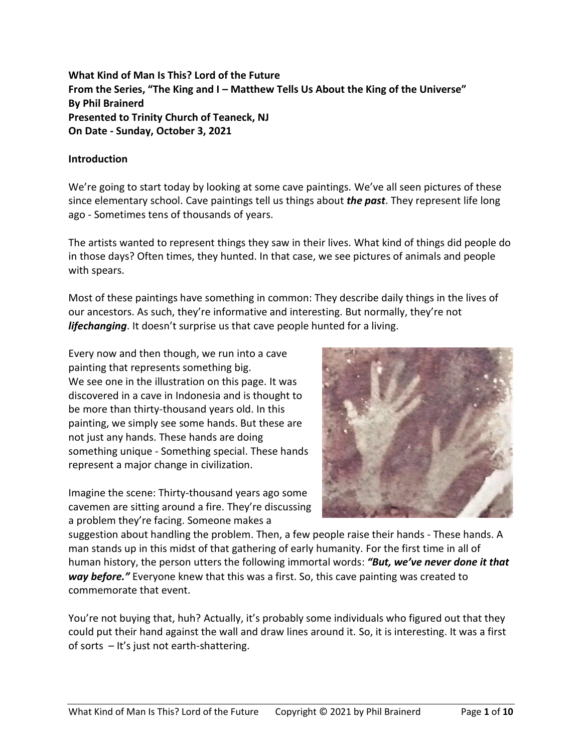**What Kind of Man Is This? Lord of the Future From the Series, "The King and I – Matthew Tells Us About the King of the Universe" By Phil Brainerd Presented to Trinity Church of Teaneck, NJ On Date - Sunday, October 3, 2021**

## **Introduction**

We're going to start today by looking at some cave paintings. We've all seen pictures of these since elementary school. Cave paintings tell us things about *the past*. They represent life long ago - Sometimes tens of thousands of years.

The artists wanted to represent things they saw in their lives. What kind of things did people do in those days? Often times, they hunted. In that case, we see pictures of animals and people with spears.

Most of these paintings have something in common: They describe daily things in the lives of our ancestors. As such, they're informative and interesting. But normally, they're not *lifechanging*. It doesn't surprise us that cave people hunted for a living.

Every now and then though, we run into a cave painting that represents something big. We see one in the illustration on this page. It was discovered in a cave in Indonesia and is thought to be more than thirty-thousand years old. In this painting, we simply see some hands. But these are not just any hands. These hands are doing something unique - Something special. These hands represent a major change in civilization.

Imagine the scene: Thirty-thousand years ago some cavemen are sitting around a fire. They're discussing a problem they're facing. Someone makes a



suggestion about handling the problem. Then, a few people raise their hands - These hands. A man stands up in this midst of that gathering of early humanity. For the first time in all of human history, the person utters the following immortal words: *"But, we've never done it that way before."* Everyone knew that this was a first. So, this cave painting was created to commemorate that event.

You're not buying that, huh? Actually, it's probably some individuals who figured out that they could put their hand against the wall and draw lines around it. So, it is interesting. It was a first of sorts – It's just not earth-shattering.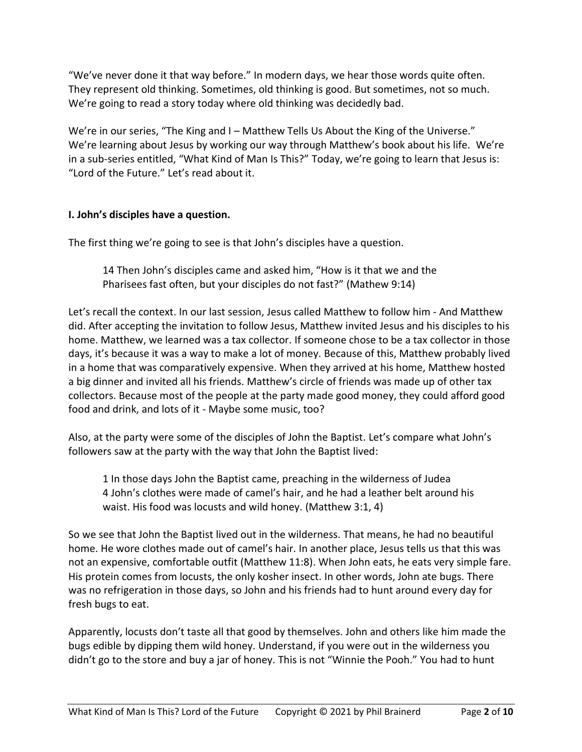"We've never done it that way before." In modern days, we hear those words quite often. They represent old thinking. Sometimes, old thinking is good. But sometimes, not so much. We're going to read a story today where old thinking was decidedly bad.

We're in our series, "The King and I – Matthew Tells Us About the King of the Universe." We're learning about Jesus by working our way through Matthew's book about his life. We're in a sub-series entitled, "What Kind of Man Is This?" Today, we're going to learn that Jesus is: "Lord of the Future." Let's read about it.

# **I. John's disciples have a question.**

The first thing we're going to see is that John's disciples have a question.

14 Then John's disciples came and asked him, "How is it that we and the Pharisees fast often, but your disciples do not fast?" (Mathew 9:14)

Let's recall the context. In our last session, Jesus called Matthew to follow him - And Matthew did. After accepting the invitation to follow Jesus, Matthew invited Jesus and his disciples to his home. Matthew, we learned was a tax collector. If someone chose to be a tax collector in those days, it's because it was a way to make a lot of money. Because of this, Matthew probably lived in a home that was comparatively expensive. When they arrived at his home, Matthew hosted a big dinner and invited all his friends. Matthew's circle of friends was made up of other tax collectors. Because most of the people at the party made good money, they could afford good food and drink, and lots of it - Maybe some music, too?

Also, at the party were some of the disciples of John the Baptist. Let's compare what John's followers saw at the party with the way that John the Baptist lived:

1 In those days John the Baptist came, preaching in the wilderness of Judea 4 John's clothes were made of camel's hair, and he had a leather belt around his waist. His food was locusts and wild honey. (Matthew 3:1, 4)

So we see that John the Baptist lived out in the wilderness. That means, he had no beautiful home. He wore clothes made out of camel's hair. In another place, Jesus tells us that this was not an expensive, comfortable outfit (Matthew 11:8). When John eats, he eats very simple fare. His protein comes from locusts, the only kosher insect. In other words, John ate bugs. There was no refrigeration in those days, so John and his friends had to hunt around every day for fresh bugs to eat.

Apparently, locusts don't taste all that good by themselves. John and others like him made the bugs edible by dipping them wild honey. Understand, if you were out in the wilderness you didn't go to the store and buy a jar of honey. This is not "Winnie the Pooh." You had to hunt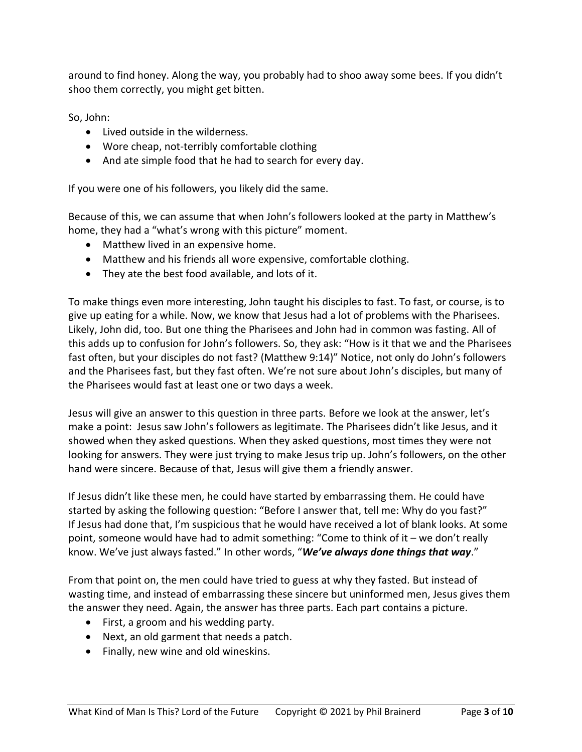around to find honey. Along the way, you probably had to shoo away some bees. If you didn't shoo them correctly, you might get bitten.

So, John:

- Lived outside in the wilderness.
- Wore cheap, not-terribly comfortable clothing
- And ate simple food that he had to search for every day.

If you were one of his followers, you likely did the same.

Because of this, we can assume that when John's followers looked at the party in Matthew's home, they had a "what's wrong with this picture" moment.

- Matthew lived in an expensive home.
- Matthew and his friends all wore expensive, comfortable clothing.
- They ate the best food available, and lots of it.

To make things even more interesting, John taught his disciples to fast. To fast, or course, is to give up eating for a while. Now, we know that Jesus had a lot of problems with the Pharisees. Likely, John did, too. But one thing the Pharisees and John had in common was fasting. All of this adds up to confusion for John's followers. So, they ask: "How is it that we and the Pharisees fast often, but your disciples do not fast? (Matthew 9:14)" Notice, not only do John's followers and the Pharisees fast, but they fast often. We're not sure about John's disciples, but many of the Pharisees would fast at least one or two days a week.

Jesus will give an answer to this question in three parts. Before we look at the answer, let's make a point: Jesus saw John's followers as legitimate. The Pharisees didn't like Jesus, and it showed when they asked questions. When they asked questions, most times they were not looking for answers. They were just trying to make Jesus trip up. John's followers, on the other hand were sincere. Because of that, Jesus will give them a friendly answer.

If Jesus didn't like these men, he could have started by embarrassing them. He could have started by asking the following question: "Before I answer that, tell me: Why do you fast?" If Jesus had done that, I'm suspicious that he would have received a lot of blank looks. At some point, someone would have had to admit something: "Come to think of it – we don't really know. We've just always fasted." In other words, "*We've always done things that way*."

From that point on, the men could have tried to guess at why they fasted. But instead of wasting time, and instead of embarrassing these sincere but uninformed men, Jesus gives them the answer they need. Again, the answer has three parts. Each part contains a picture.

- First, a groom and his wedding party.
- Next, an old garment that needs a patch.
- Finally, new wine and old wineskins.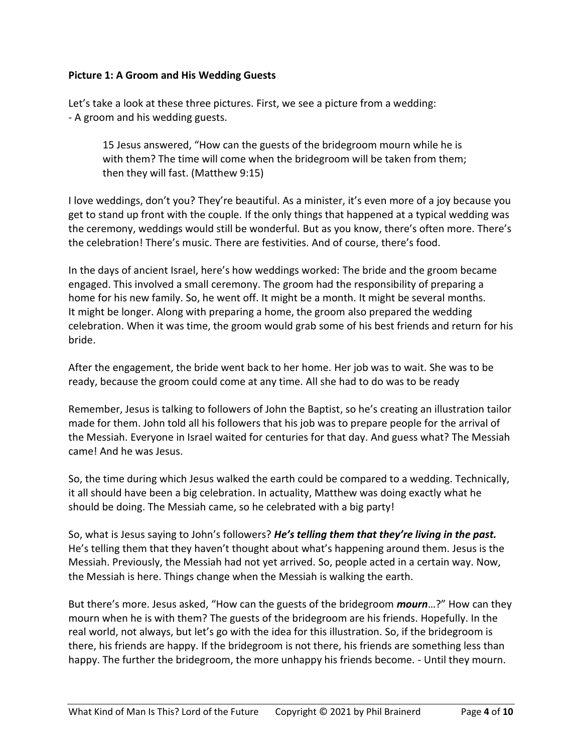## **Picture 1: A Groom and His Wedding Guests**

Let's take a look at these three pictures. First, we see a picture from a wedding: - A groom and his wedding guests.

15 Jesus answered, "How can the guests of the bridegroom mourn while he is with them? The time will come when the bridegroom will be taken from them; then they will fast. (Matthew 9:15)

I love weddings, don't you? They're beautiful. As a minister, it's even more of a joy because you get to stand up front with the couple. If the only things that happened at a typical wedding was the ceremony, weddings would still be wonderful. But as you know, there's often more. There's the celebration! There's music. There are festivities. And of course, there's food.

In the days of ancient Israel, here's how weddings worked: The bride and the groom became engaged. This involved a small ceremony. The groom had the responsibility of preparing a home for his new family. So, he went off. It might be a month. It might be several months. It might be longer. Along with preparing a home, the groom also prepared the wedding celebration. When it was time, the groom would grab some of his best friends and return for his bride.

After the engagement, the bride went back to her home. Her job was to wait. She was to be ready, because the groom could come at any time. All she had to do was to be ready

Remember, Jesus is talking to followers of John the Baptist, so he's creating an illustration tailor made for them. John told all his followers that his job was to prepare people for the arrival of the Messiah. Everyone in Israel waited for centuries for that day. And guess what? The Messiah came! And he was Jesus.

So, the time during which Jesus walked the earth could be compared to a wedding. Technically, it all should have been a big celebration. In actuality, Matthew was doing exactly what he should be doing. The Messiah came, so he celebrated with a big party!

So, what is Jesus saying to John's followers? *He's telling them that they're living in the past.* He's telling them that they haven't thought about what's happening around them. Jesus is the Messiah. Previously, the Messiah had not yet arrived. So, people acted in a certain way. Now, the Messiah is here. Things change when the Messiah is walking the earth.

But there's more. Jesus asked, "How can the guests of the bridegroom *mourn*…?" How can they mourn when he is with them? The guests of the bridegroom are his friends. Hopefully. In the real world, not always, but let's go with the idea for this illustration. So, if the bridegroom is there, his friends are happy. If the bridegroom is not there, his friends are something less than happy. The further the bridegroom, the more unhappy his friends become. - Until they mourn.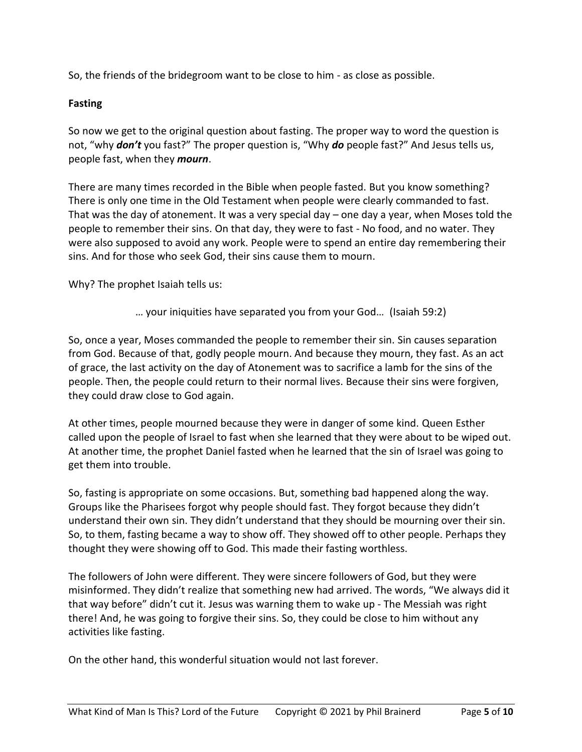So, the friends of the bridegroom want to be close to him - as close as possible.

# **Fasting**

So now we get to the original question about fasting. The proper way to word the question is not, "why *don't* you fast?" The proper question is, "Why *do* people fast?" And Jesus tells us, people fast, when they *mourn*.

There are many times recorded in the Bible when people fasted. But you know something? There is only one time in the Old Testament when people were clearly commanded to fast. That was the day of atonement. It was a very special day – one day a year, when Moses told the people to remember their sins. On that day, they were to fast - No food, and no water. They were also supposed to avoid any work. People were to spend an entire day remembering their sins. And for those who seek God, their sins cause them to mourn.

Why? The prophet Isaiah tells us:

… your iniquities have separated you from your God… (Isaiah 59:2)

So, once a year, Moses commanded the people to remember their sin. Sin causes separation from God. Because of that, godly people mourn. And because they mourn, they fast. As an act of grace, the last activity on the day of Atonement was to sacrifice a lamb for the sins of the people. Then, the people could return to their normal lives. Because their sins were forgiven, they could draw close to God again.

At other times, people mourned because they were in danger of some kind. Queen Esther called upon the people of Israel to fast when she learned that they were about to be wiped out. At another time, the prophet Daniel fasted when he learned that the sin of Israel was going to get them into trouble.

So, fasting is appropriate on some occasions. But, something bad happened along the way. Groups like the Pharisees forgot why people should fast. They forgot because they didn't understand their own sin. They didn't understand that they should be mourning over their sin. So, to them, fasting became a way to show off. They showed off to other people. Perhaps they thought they were showing off to God. This made their fasting worthless.

The followers of John were different. They were sincere followers of God, but they were misinformed. They didn't realize that something new had arrived. The words, "We always did it that way before" didn't cut it. Jesus was warning them to wake up - The Messiah was right there! And, he was going to forgive their sins. So, they could be close to him without any activities like fasting.

On the other hand, this wonderful situation would not last forever.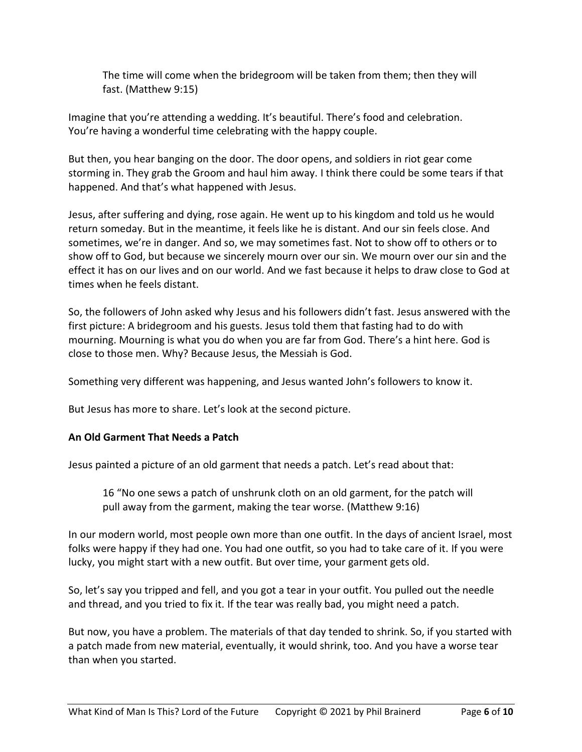The time will come when the bridegroom will be taken from them; then they will fast. (Matthew 9:15)

Imagine that you're attending a wedding. It's beautiful. There's food and celebration. You're having a wonderful time celebrating with the happy couple.

But then, you hear banging on the door. The door opens, and soldiers in riot gear come storming in. They grab the Groom and haul him away. I think there could be some tears if that happened. And that's what happened with Jesus.

Jesus, after suffering and dying, rose again. He went up to his kingdom and told us he would return someday. But in the meantime, it feels like he is distant. And our sin feels close. And sometimes, we're in danger. And so, we may sometimes fast. Not to show off to others or to show off to God, but because we sincerely mourn over our sin. We mourn over our sin and the effect it has on our lives and on our world. And we fast because it helps to draw close to God at times when he feels distant.

So, the followers of John asked why Jesus and his followers didn't fast. Jesus answered with the first picture: A bridegroom and his guests. Jesus told them that fasting had to do with mourning. Mourning is what you do when you are far from God. There's a hint here. God is close to those men. Why? Because Jesus, the Messiah is God.

Something very different was happening, and Jesus wanted John's followers to know it.

But Jesus has more to share. Let's look at the second picture.

#### **An Old Garment That Needs a Patch**

Jesus painted a picture of an old garment that needs a patch. Let's read about that:

16 "No one sews a patch of unshrunk cloth on an old garment, for the patch will pull away from the garment, making the tear worse. (Matthew 9:16)

In our modern world, most people own more than one outfit. In the days of ancient Israel, most folks were happy if they had one. You had one outfit, so you had to take care of it. If you were lucky, you might start with a new outfit. But over time, your garment gets old.

So, let's say you tripped and fell, and you got a tear in your outfit. You pulled out the needle and thread, and you tried to fix it. If the tear was really bad, you might need a patch.

But now, you have a problem. The materials of that day tended to shrink. So, if you started with a patch made from new material, eventually, it would shrink, too. And you have a worse tear than when you started.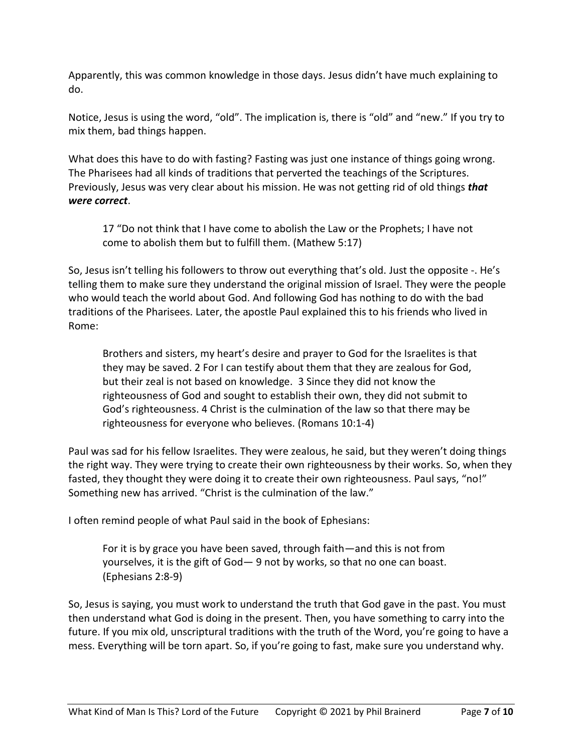Apparently, this was common knowledge in those days. Jesus didn't have much explaining to do.

Notice, Jesus is using the word, "old". The implication is, there is "old" and "new." If you try to mix them, bad things happen.

What does this have to do with fasting? Fasting was just one instance of things going wrong. The Pharisees had all kinds of traditions that perverted the teachings of the Scriptures. Previously, Jesus was very clear about his mission. He was not getting rid of old things *that were correct*.

17 "Do not think that I have come to abolish the Law or the Prophets; I have not come to abolish them but to fulfill them. (Mathew 5:17)

So, Jesus isn't telling his followers to throw out everything that's old. Just the opposite -. He's telling them to make sure they understand the original mission of Israel. They were the people who would teach the world about God. And following God has nothing to do with the bad traditions of the Pharisees. Later, the apostle Paul explained this to his friends who lived in Rome:

Brothers and sisters, my heart's desire and prayer to God for the Israelites is that they may be saved. 2 For I can testify about them that they are zealous for God, but their zeal is not based on knowledge. 3 Since they did not know the righteousness of God and sought to establish their own, they did not submit to God's righteousness. 4 Christ is the culmination of the law so that there may be righteousness for everyone who believes. (Romans 10:1-4)

Paul was sad for his fellow Israelites. They were zealous, he said, but they weren't doing things the right way. They were trying to create their own righteousness by their works. So, when they fasted, they thought they were doing it to create their own righteousness. Paul says, "no!" Something new has arrived. "Christ is the culmination of the law."

I often remind people of what Paul said in the book of Ephesians:

For it is by grace you have been saved, through faith—and this is not from yourselves, it is the gift of God— 9 not by works, so that no one can boast. (Ephesians 2:8-9)

So, Jesus is saying, you must work to understand the truth that God gave in the past. You must then understand what God is doing in the present. Then, you have something to carry into the future. If you mix old, unscriptural traditions with the truth of the Word, you're going to have a mess. Everything will be torn apart. So, if you're going to fast, make sure you understand why.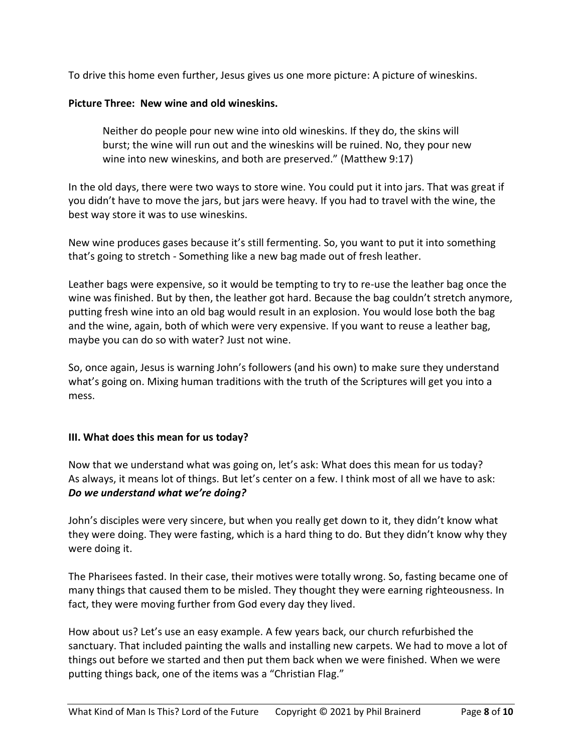To drive this home even further, Jesus gives us one more picture: A picture of wineskins.

### **Picture Three: New wine and old wineskins.**

Neither do people pour new wine into old wineskins. If they do, the skins will burst; the wine will run out and the wineskins will be ruined. No, they pour new wine into new wineskins, and both are preserved." (Matthew 9:17)

In the old days, there were two ways to store wine. You could put it into jars. That was great if you didn't have to move the jars, but jars were heavy. If you had to travel with the wine, the best way store it was to use wineskins.

New wine produces gases because it's still fermenting. So, you want to put it into something that's going to stretch - Something like a new bag made out of fresh leather.

Leather bags were expensive, so it would be tempting to try to re-use the leather bag once the wine was finished. But by then, the leather got hard. Because the bag couldn't stretch anymore, putting fresh wine into an old bag would result in an explosion. You would lose both the bag and the wine, again, both of which were very expensive. If you want to reuse a leather bag, maybe you can do so with water? Just not wine.

So, once again, Jesus is warning John's followers (and his own) to make sure they understand what's going on. Mixing human traditions with the truth of the Scriptures will get you into a mess.

#### **III. What does this mean for us today?**

Now that we understand what was going on, let's ask: What does this mean for us today? As always, it means lot of things. But let's center on a few. I think most of all we have to ask: *Do we understand what we're doing?*

John's disciples were very sincere, but when you really get down to it, they didn't know what they were doing. They were fasting, which is a hard thing to do. But they didn't know why they were doing it.

The Pharisees fasted. In their case, their motives were totally wrong. So, fasting became one of many things that caused them to be misled. They thought they were earning righteousness. In fact, they were moving further from God every day they lived.

How about us? Let's use an easy example. A few years back, our church refurbished the sanctuary. That included painting the walls and installing new carpets. We had to move a lot of things out before we started and then put them back when we were finished. When we were putting things back, one of the items was a "Christian Flag."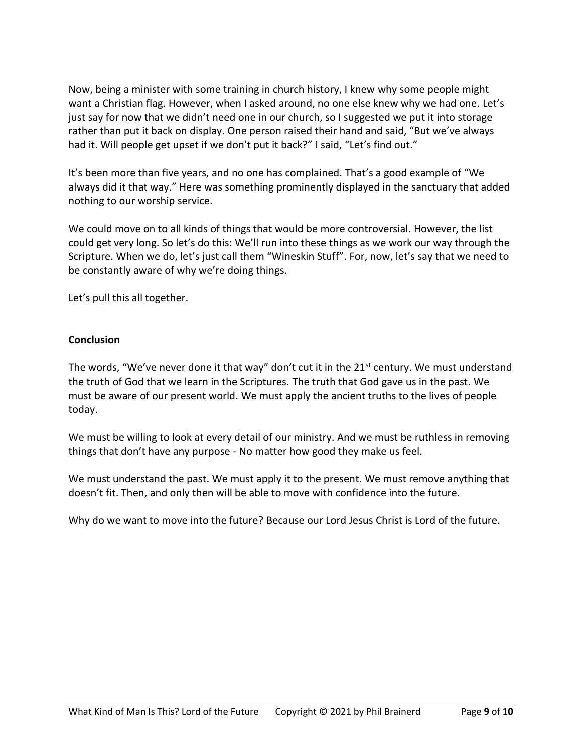Now, being a minister with some training in church history, I knew why some people might want a Christian flag. However, when I asked around, no one else knew why we had one. Let's just say for now that we didn't need one in our church, so I suggested we put it into storage rather than put it back on display. One person raised their hand and said, "But we've always had it. Will people get upset if we don't put it back?" I said, "Let's find out."

It's been more than five years, and no one has complained. That's a good example of "We always did it that way." Here was something prominently displayed in the sanctuary that added nothing to our worship service.

We could move on to all kinds of things that would be more controversial. However, the list could get very long. So let's do this: We'll run into these things as we work our way through the Scripture. When we do, let's just call them "Wineskin Stuff". For, now, let's say that we need to be constantly aware of why we're doing things.

Let's pull this all together.

## **Conclusion**

The words, "We've never done it that way" don't cut it in the  $21<sup>st</sup>$  century. We must understand the truth of God that we learn in the Scriptures. The truth that God gave us in the past. We must be aware of our present world. We must apply the ancient truths to the lives of people today.

We must be willing to look at every detail of our ministry. And we must be ruthless in removing things that don't have any purpose - No matter how good they make us feel.

We must understand the past. We must apply it to the present. We must remove anything that doesn't fit. Then, and only then will be able to move with confidence into the future.

Why do we want to move into the future? Because our Lord Jesus Christ is Lord of the future.